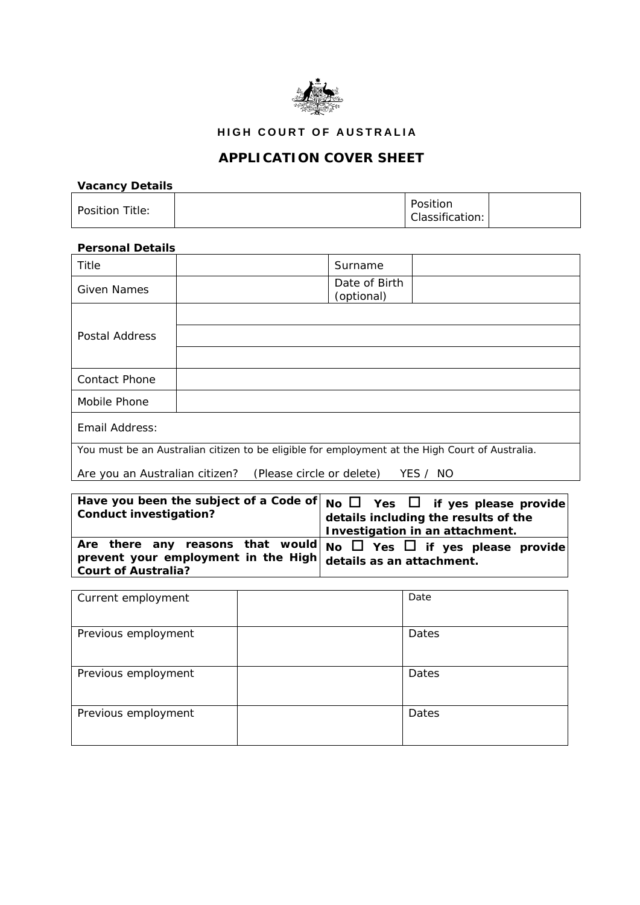

**HIGH COURT OF AUSTRALIA** 

## **APPLICATION COVER SHEET**

## *Vacancy Details*

| Position Title: | Position<br>Classification: |
|-----------------|-----------------------------|
|-----------------|-----------------------------|

## *Personal Details*

| Title                                                                                           | Surname                     |  |
|-------------------------------------------------------------------------------------------------|-----------------------------|--|
| <b>Given Names</b>                                                                              | Date of Birth<br>(optional) |  |
|                                                                                                 |                             |  |
| Postal Address                                                                                  |                             |  |
|                                                                                                 |                             |  |
| <b>Contact Phone</b>                                                                            |                             |  |
| Mobile Phone                                                                                    |                             |  |
| Email Address:                                                                                  |                             |  |
| You must be an Australian citizen to be eligible for employment at the High Court of Australia. |                             |  |

Are you an Australian citizen? *(Please circle or delete)* YES / NO

|                                                               | Have you been the subject of a Code of $_{NO}$ $\Box$ Yes $\Box$ if yes please provide |
|---------------------------------------------------------------|----------------------------------------------------------------------------------------|
| <b>Conduct investigation?</b>                                 | details including the results of the                                                   |
|                                                               | Investigation in an attachment.                                                        |
|                                                               | Are there any reasons that would No $\Box$ Yes $\Box$ if yes please provide            |
| prevent your employment in the High details as an attachment. |                                                                                        |
| <b>Court of Australia?</b>                                    |                                                                                        |

| Current employment  | Date  |
|---------------------|-------|
| Previous employment | Dates |
| Previous employment | Dates |
| Previous employment | Dates |